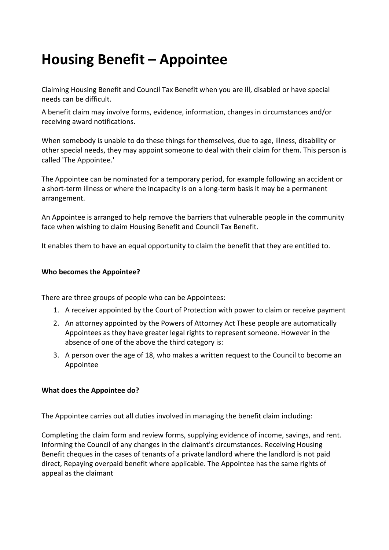# **Housing Benefit – Appointee**

Claiming Housing Benefit and Council Tax Benefit when you are ill, disabled or have special needs can be difficult.

A benefit claim may involve forms, evidence, information, changes in circumstances and/or receiving award notifications.

When somebody is unable to do these things for themselves, due to age, illness, disability or other special needs, they may appoint someone to deal with their claim for them. This person is called 'The Appointee.'

The Appointee can be nominated for a temporary period, for example following an accident or a short-term illness or where the incapacity is on a long-term basis it may be a permanent arrangement.

An Appointee is arranged to help remove the barriers that vulnerable people in the community face when wishing to claim Housing Benefit and Council Tax Benefit.

It enables them to have an equal opportunity to claim the benefit that they are entitled to.

## **Who becomes the Appointee?**

There are three groups of people who can be Appointees:

- 1. A receiver appointed by the Court of Protection with power to claim or receive payment
- 2. An attorney appointed by the Powers of Attorney Act These people are automatically Appointees as they have greater legal rights to represent someone. However in the absence of one of the above the third category is:
- 3. A person over the age of 18, who makes a written request to the Council to become an Appointee

### **What does the Appointee do?**

The Appointee carries out all duties involved in managing the benefit claim including:

Completing the claim form and review forms, supplying evidence of income, savings, and rent. Informing the Council of any changes in the claimant's circumstances. Receiving Housing Benefit cheques in the cases of tenants of a private landlord where the landlord is not paid direct, Repaying overpaid benefit where applicable. The Appointee has the same rights of appeal as the claimant